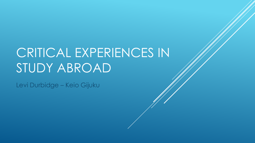# CRITICAL EXPERIENCES IN STUDY ABROAD

Levi Durbidge – Keio Gijuku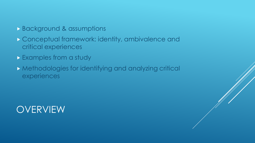- **Background & assumptions**
- Conceptual framework: identity, ambivalence and critical experiences
- Examples from a study
- Methodologies for identifying and analyzing critical experiences

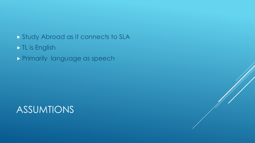#### Study Abroad as it connects to SLA

#### In TL is English

Primarily language as speech

#### ASSUMTIONS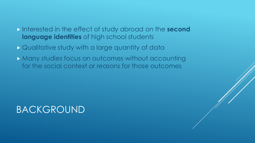#### Interested in the effect of study abroad on the **second language identities** of high school students

- Qualitative study with a large quantity of data
- **Many studies focus on outcomes without accounting** for the social context or reasons for those outcomes

## BACKGROUND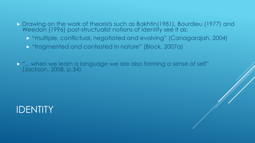- Drawing on the work of theorists such as Bakhtin(1981), Bourdieu (1977) and Weedon (1996) post-structualist notions of identity see it as:
	- "multiple, conflictual, negotiated and evolving" (Canagarajah, 2004)
	- **E** "fragmented and contested in nature" (Block, 2007a)
- $\triangleright$  "...when we learn a language we are also forming a sense of self" (Jackson, 2008, p.34)

### IDENTITY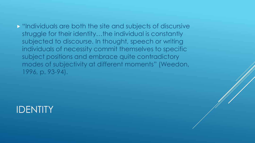"Individuals are both the site and subjects of discursive struggle for their identity…the individual is constantly subjected to discourse. In thought, speech or writing individuals of necessity commit themselves to specific subject positions and embrace quite contradictory modes of subjectivity at different moments" (Weedon, 1996, p. 93-94).

#### IDENTITY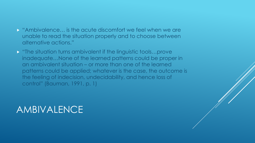#### "Ambivalence… is the acute discomfort we feel when we are unable to read the situation properly and to choose between alternative actions."

 $\triangleright$  "The situation turns ambivalent if the linguistic tools...prove inadequate…None of the learned patterns could be proper in an ambivalent situation – or more than one of the learned patterns could be applied; whatever is the case, the outcome is the feeling of indecision, undecidability, and hence loss of control" (Bauman, 1991, p. 1)

#### AMBIVALENCE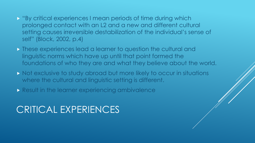- "By critical experiences I mean periods of time during which prolonged contact with an L2 and a new and different cultural setting causes irreversible destabilization of the individual's sense of self" (Block, 2002, p.4)
- **These experiences lead a learner to question the cultural and** linguistic norms which have up until that point formed the foundations of who they are and what they believe about the world.
- Not exclusive to study abroad but more likely to occur in situations where the cultural and linguistic setting is different.
- **Result in the learner experiencing ambivalence**

### CRITICAL EXPERIENCES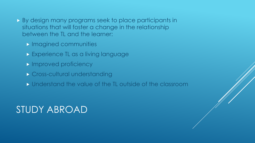- **By design many programs seek to place participants in** situations that will foster a change in the relationship between the TL and the learner:
	- **Imagined communities**
	- **Experience TL as a living language**
	- **Improved proficiency**
	- **Cross-cultural understanding**
	- **If** Understand the value of the TL outside of the classroom

## STUDY ABROAD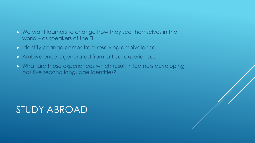- We want learners to change how they see themselves in the world – as speakers of the TL
- In Identity change comes from resolving ambivalence
- Ambivalence is generated from critical experiences
- What are those experiences which result in learners developing positive second language identities?

# STUDY ABROAD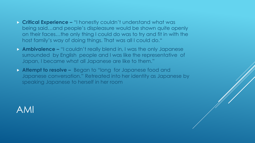- **Critical Experience –** "I honestly couldn't understand what was being said…and people's displeasure would be shown quite openly on their faces…the only thing I could do was to try and fit in with the host family's way of doing things. That was all I could do."
- **Ambivalence –** "I couldn't really blend in, I was the only Japanese surrounded by English people and I was like the representative of Japan, I became what all Japanese are like to them."
- **Attempt to resolve –** Began to "long for Japanese food and Japanese conversation." Retreated into her identity as Japanese by speaking Japanese to herself in her room

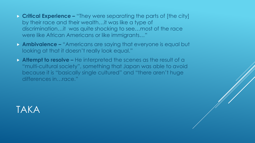- **Critical Experience –** "They were separating the parts of [the city] by their race and their wealth…it was like a type of discrimination…it was quite shocking to see…most of the race were like African Americans or like immigrants…"
- **Ambivalence –** "Americans are saying that everyone is equal but looking at that it doesn't really look equal."
- **Attempt to resolve –** He interpreted the scenes as the result of a "multi-cultural society", something that Japan was able to avoid because it is "basically single cultured" and "there aren't huge differences in…race."

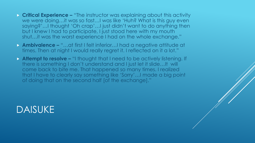- **Critical Experience –** "The instructor was explaining about this activity we were doing…it was so fast…I was like 'Huh? What is this guy even saying?'…I thought 'Oh crap'…I just didn't want to do anything then but I knew I had to participate, I just stood here with my mouth shut…it was the worst experience I had on the whole exchange."
- **Ambivalence –** "…at first I felt inferior…I had a negative attitude at times. Then at night I would really regret it. I reflected on it a lot."
- **Attempt to resolve –** "I thought that I need to be actively listening. If there is something I don't understand and I just let it slide…It will come back to bite me. That happened so many times. I realized that I have to clearly say something like 'Sorry'…I made a big point of doing that on the second half [of the exchange]."

#### DAISUKE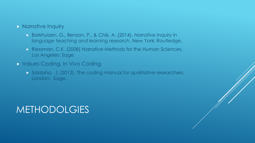#### **Narrative Inquiry**

- Barkhuizen, G., Benson, P., & Chik, A. (2014). *Narrative inquiry in language teaching and learning research*. New York: Routledge.
- **Riessman, C.K. (2008) Narrative Methods for the Human Sciences,** Los Angeles: Sage.
- Values Coding, In Vivo Coding
	- Saldaña, J. (2012). The coding manual for qualitative researchers. London: Sage.

#### METHODOLGIES